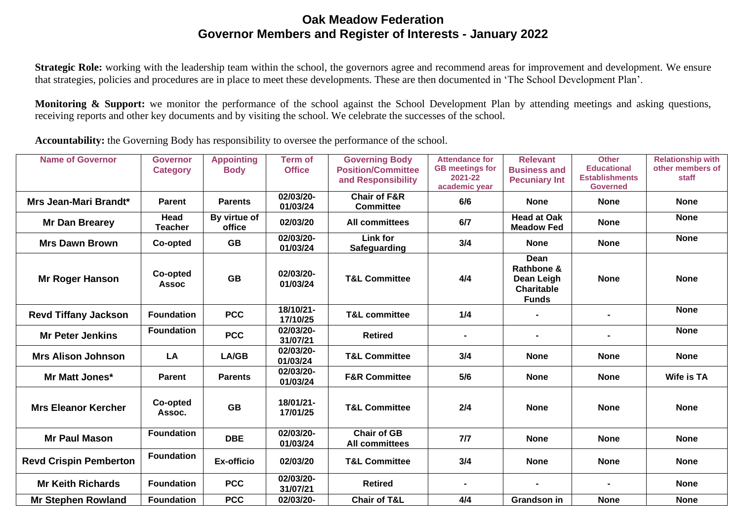## **Oak Meadow Federation Governor Members and Register of Interests - January 2022**

**Strategic Role:** working with the leadership team within the school, the governors agree and recommend areas for improvement and development. We ensure that strategies, policies and procedures are in place to meet these developments. These are then documented in 'The School Development Plan'.

**Monitoring & Support:** we monitor the performance of the school against the School Development Plan by attending meetings and asking questions, receiving reports and other key documents and by visiting the school. We celebrate the successes of the school.

**Accountability:** the Governing Body has responsibility to oversee the performance of the school.

| <b>Name of Governor</b>       | <b>Governor</b><br><b>Category</b> | <b>Appointing</b><br><b>Body</b> | <b>Term of</b><br><b>Office</b> | <b>Governing Body</b><br><b>Position/Committee</b><br>and Responsibility | <b>Attendance for</b><br><b>GB</b> meetings for<br>2021-22<br>academic year | <b>Relevant</b><br><b>Business and</b><br><b>Pecuniary Int</b>        | <b>Other</b><br><b>Educational</b><br><b>Establishments</b><br><b>Governed</b> | <b>Relationship with</b><br>other members of<br>staff |
|-------------------------------|------------------------------------|----------------------------------|---------------------------------|--------------------------------------------------------------------------|-----------------------------------------------------------------------------|-----------------------------------------------------------------------|--------------------------------------------------------------------------------|-------------------------------------------------------|
| Mrs Jean-Mari Brandt*         | <b>Parent</b>                      | <b>Parents</b>                   | 02/03/20-<br>01/03/24           | <b>Chair of F&amp;R</b><br><b>Committee</b>                              | 6/6                                                                         | <b>None</b>                                                           | <b>None</b>                                                                    | <b>None</b>                                           |
| <b>Mr Dan Brearey</b>         | Head<br><b>Teacher</b>             | By virtue of<br>office           | 02/03/20                        | <b>All committees</b>                                                    | 6/7                                                                         | <b>Head at Oak</b><br><b>Meadow Fed</b>                               | <b>None</b>                                                                    | <b>None</b>                                           |
| <b>Mrs Dawn Brown</b>         | Co-opted                           | <b>GB</b>                        | 02/03/20-<br>01/03/24           | <b>Link for</b><br><b>Safeguarding</b>                                   | 3/4                                                                         | <b>None</b>                                                           | <b>None</b>                                                                    | <b>None</b>                                           |
| Mr Roger Hanson               | Co-opted<br><b>Assoc</b>           | <b>GB</b>                        | 02/03/20-<br>01/03/24           | <b>T&amp;L Committee</b>                                                 | 4/4                                                                         | Dean<br>Rathbone &<br>Dean Leigh<br><b>Charitable</b><br><b>Funds</b> | <b>None</b>                                                                    | <b>None</b>                                           |
| <b>Revd Tiffany Jackson</b>   | <b>Foundation</b>                  | <b>PCC</b>                       | 18/10/21-<br>17/10/25           | <b>T&amp;L committee</b>                                                 | 1/4                                                                         |                                                                       |                                                                                | <b>None</b>                                           |
| <b>Mr Peter Jenkins</b>       | <b>Foundation</b>                  | <b>PCC</b>                       | 02/03/20-<br>31/07/21           | <b>Retired</b>                                                           | $\blacksquare$                                                              | $\blacksquare$                                                        |                                                                                | <b>None</b>                                           |
| <b>Mrs Alison Johnson</b>     | LA                                 | LA/GB                            | 02/03/20-<br>01/03/24           | <b>T&amp;L Committee</b>                                                 | 3/4                                                                         | <b>None</b>                                                           | <b>None</b>                                                                    | <b>None</b>                                           |
| <b>Mr Matt Jones*</b>         | Parent                             | <b>Parents</b>                   | 02/03/20-<br>01/03/24           | <b>F&amp;R Committee</b>                                                 | 5/6                                                                         | <b>None</b>                                                           | <b>None</b>                                                                    | <b>Wife is TA</b>                                     |
| <b>Mrs Eleanor Kercher</b>    | Co-opted<br>Assoc.                 | <b>GB</b>                        | 18/01/21-<br>17/01/25           | <b>T&amp;L Committee</b>                                                 | 2/4                                                                         | <b>None</b>                                                           | <b>None</b>                                                                    | <b>None</b>                                           |
| <b>Mr Paul Mason</b>          | <b>Foundation</b>                  | <b>DBE</b>                       | 02/03/20-<br>01/03/24           | <b>Chair of GB</b><br><b>All committees</b>                              | 7/7                                                                         | <b>None</b>                                                           | <b>None</b>                                                                    | <b>None</b>                                           |
| <b>Revd Crispin Pemberton</b> | <b>Foundation</b>                  | <b>Ex-officio</b>                | 02/03/20                        | <b>T&amp;L Committee</b>                                                 | 3/4                                                                         | <b>None</b>                                                           | <b>None</b>                                                                    | <b>None</b>                                           |
| <b>Mr Keith Richards</b>      | <b>Foundation</b>                  | <b>PCC</b>                       | 02/03/20-<br>31/07/21           | <b>Retired</b>                                                           |                                                                             |                                                                       |                                                                                | <b>None</b>                                           |
| <b>Mr Stephen Rowland</b>     | <b>Foundation</b>                  | <b>PCC</b>                       | 02/03/20-                       | <b>Chair of T&amp;L</b>                                                  | 4/4                                                                         | <b>Grandson in</b>                                                    | <b>None</b>                                                                    | <b>None</b>                                           |